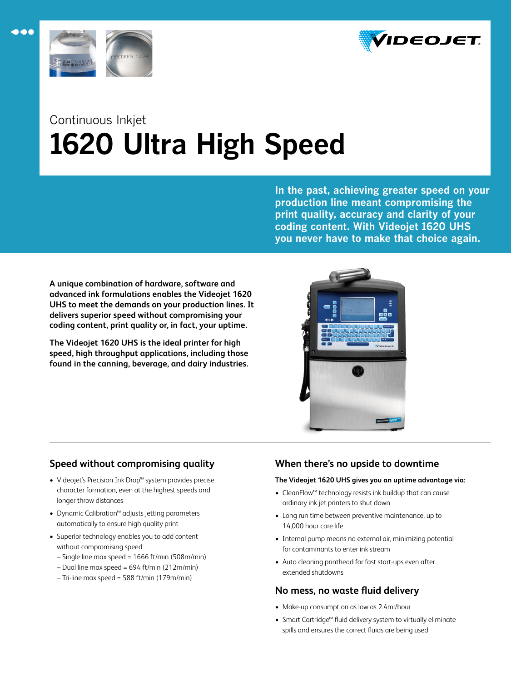



 $\bullet\bullet\bullet$ 

# Continuous Inkjet **1620 Ultra High Speed**

**In the past, achieving greater speed on your production line meant compromising the print quality, accuracy and clarity of your coding content. With Videojet 1620 UHS you never have to make that choice again.**

**A unique combination of hardware, software and advanced ink formulations enables the Videojet 1620 UHS to meet the demands on your production lines. It delivers superior speed without compromising your coding content, print quality or, in fact, your uptime.** 

**The Videojet 1620 UHS is the ideal printer for high speed, high throughput applications, including those found in the canning, beverage, and dairy industries.**



## **Speed without compromising quality**

- Videojet's Precision Ink Drop™ system provides precise character formation, even at the highest speeds and longer throw distances
- Dynamic Calibration™ adjusts jetting parameters automatically to ensure high quality print
- Superior technology enables you to add content without compromising speed
	- Single line max speed = 1666 ft/min (508m/min)
	- Dual line max speed = 694 ft/min (212m/min)
	- Tri-line max speed = 588 ft/min (179m/min)

# **When there's no upside to downtime**

## **The Videojet 1620 UHS gives you an uptime advantage via:**

- CleanFlow™ technology resists ink buildup that can cause ordinary ink jet printers to shut down
- Long run time between preventive maintenance, up to 14,000 hour core life
- Internal pump means no external air, minimizing potential for contaminants to enter ink stream
- Auto cleaning printhead for fast start-ups even after extended shutdowns

## **No mess, no waste fluid delivery**

- Make-up consumption as low as 2.4ml/hour
- Smart Cartridge™ fluid delivery system to virtually eliminate spills and ensures the correct fluids are being used